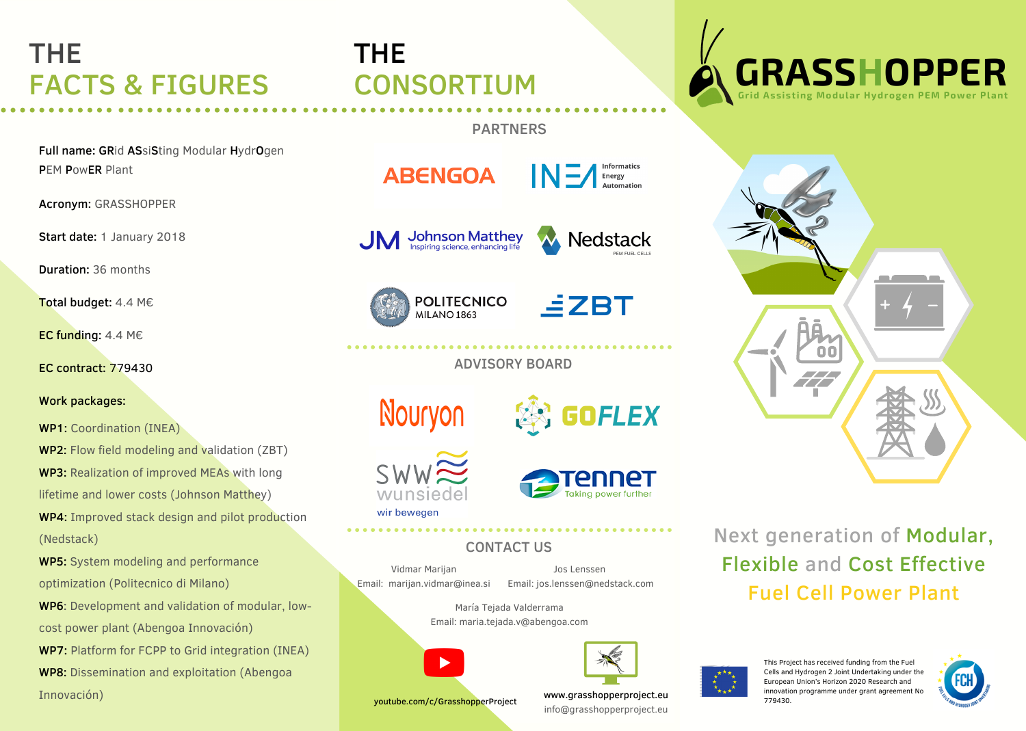### THE FACTS & FIGURES

Full name: GRid ASsiSting Modular HydrOgen PEM PowER Plant

Acronym: GRASSHOPPER

Start date: 1 January 2018

Duration: 36 months

Total budget: 4.4 M€

EC funding: 4.4 M€

EC contract: 779430

Work packages:

WP1: Coordination (INEA)

WP2: Flow field modeling and validation (ZBT) WP3: Realization of improved MEAs with long lifetime and lower costs (Johnson Matthey) WP4: Improved stack design and pilot production (Nedstack)

WP5: System modeling and performance optimization (Politecnico di Milano)

WP6: Development and validation of modular, lowcost power plant (Abengoa Innovación)

WP7: Platform for FCPP to Grid integration (INEA) WP8: Dissemination and exploitation (Abengoa Innovación)

# THE CONSORTIUM

#### PARTNERS

**ABENGOA** 

 $\mathbf{N}$   $\mathbf{I}$  Energy

**Johnson Matthey**<br>Inspiring science, enhancing life



**POLITECNICO MILANO 1863** 



ADVISORY BOARD

Nouryon





**SECTION** 

### CONTACT US

Vidmar Marijan Email: [marijan.vidmar@inea.si](mailto:marijan.vidmar@inea.si)

Jos Lenssen Email: jos.lenssen@nedstack.com

María Tejada Valderrama





youtube.com/c/GrasshopperProject

www.grasshopperproject.eu **WEBSEN 2018** Innovation info@grasshopperproject.eu





Next generation of Modular, Flexible and Cost Effective Fuel Cell Power Plant



This Project has received funding from the Fuel Cells and Hydrogen 2 Joint Undertaking under the European Union's Horizon 2020 Research and innovation programme under grant agreement No



Email: maria.tejada.v@abengoa.com